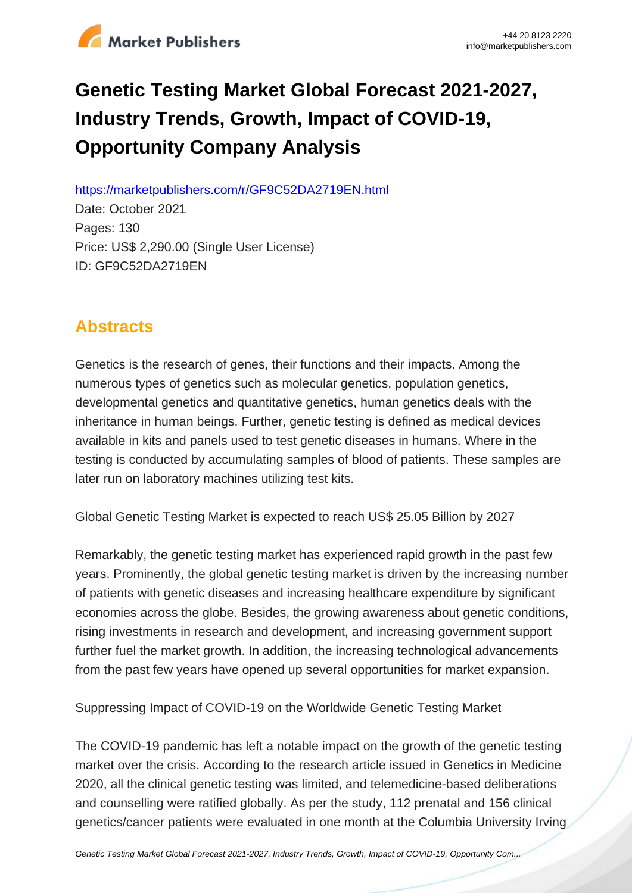

# **Genetic Testing Market Global Forecast 2021-2027, Industry Trends, Growth, Impact of COVID-19, Opportunity Company Analysis**

https://marketpublishers.com/r/GF9C52DA2719EN.html

Date: October 2021 Pages: 130 Price: US\$ 2,290.00 (Single User License) ID: GF9C52DA2719EN

# **Abstracts**

Genetics is the research of genes, their functions and their impacts. Among the numerous types of genetics such as molecular genetics, population genetics, developmental genetics and quantitative genetics, human genetics deals with the inheritance in human beings. Further, genetic testing is defined as medical devices available in kits and panels used to test genetic diseases in humans. Where in the testing is conducted by accumulating samples of blood of patients. These samples are later run on laboratory machines utilizing test kits.

Global Genetic Testing Market is expected to reach US\$ 25.05 Billion by 2027

Remarkably, the genetic testing market has experienced rapid growth in the past few years. Prominently, the global genetic testing market is driven by the increasing number of patients with genetic diseases and increasing healthcare expenditure by significant economies across the globe. Besides, the growing awareness about genetic conditions, rising investments in research and development, and increasing government support further fuel the market growth. In addition, the increasing technological advancements from the past few years have opened up several opportunities for market expansion.

Suppressing Impact of COVID-19 on the Worldwide Genetic Testing Market

The COVID-19 pandemic has left a notable impact on the growth of the genetic testing market over the crisis. According to the research article issued in Genetics in Medicine 2020, all the clinical genetic testing was limited, and telemedicine-based deliberations and counselling were ratified globally. As per the study, 112 prenatal and 156 clinical genetics/cancer patients were evaluated in one month at the Columbia University Irving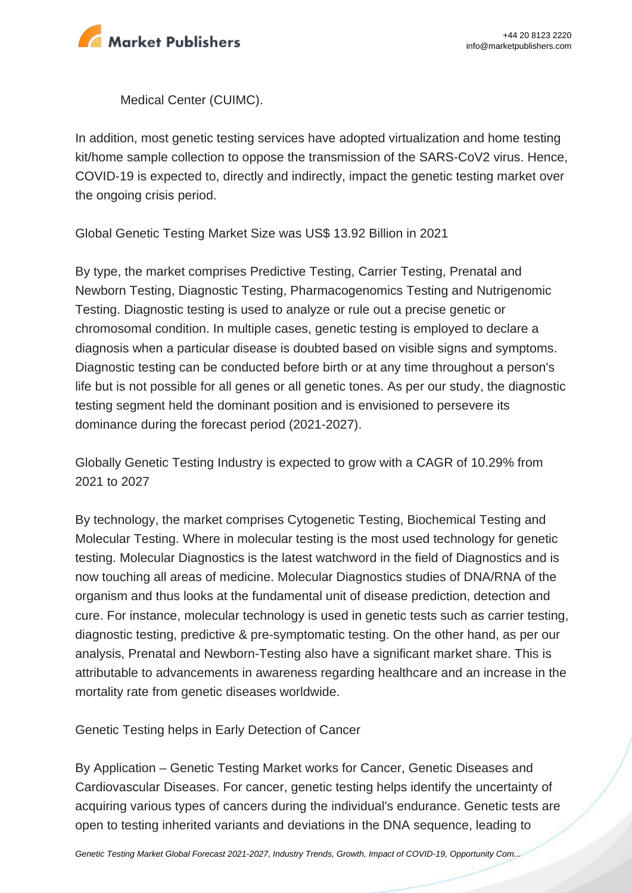

Medical Center (CUIMC).

In addition, most genetic testing services have adopted virtualization and home testing kit/home sample collection to oppose the transmission of the SARS-CoV2 virus. Hence, COVID-19 is expected to, directly and indirectly, impact the genetic testing market over the ongoing crisis period.

Global Genetic Testing Market Size was US\$ 13.92 Billion in 2021

By type, the market comprises Predictive Testing, Carrier Testing, Prenatal and Newborn Testing, Diagnostic Testing, Pharmacogenomics Testing and Nutrigenomic Testing. Diagnostic testing is used to analyze or rule out a precise genetic or chromosomal condition. In multiple cases, genetic testing is employed to declare a diagnosis when a particular disease is doubted based on visible signs and symptoms. Diagnostic testing can be conducted before birth or at any time throughout a person's life but is not possible for all genes or all genetic tones. As per our study, the diagnostic testing segment held the dominant position and is envisioned to persevere its dominance during the forecast period (2021-2027).

Globally Genetic Testing Industry is expected to grow with a CAGR of 10.29% from 2021 to 2027

By technology, the market comprises Cytogenetic Testing, Biochemical Testing and Molecular Testing. Where in molecular testing is the most used technology for genetic testing. Molecular Diagnostics is the latest watchword in the field of Diagnostics and is now touching all areas of medicine. Molecular Diagnostics studies of DNA/RNA of the organism and thus looks at the fundamental unit of disease prediction, detection and cure. For instance, molecular technology is used in genetic tests such as carrier testing, diagnostic testing, predictive & pre-symptomatic testing. On the other hand, as per our analysis, Prenatal and Newborn-Testing also have a significant market share. This is attributable to advancements in awareness regarding healthcare and an increase in the mortality rate from genetic diseases worldwide.

Genetic Testing helps in Early Detection of Cancer

By Application – Genetic Testing Market works for Cancer, Genetic Diseases and Cardiovascular Diseases. For cancer, genetic testing helps identify the uncertainty of acquiring various types of cancers during the individual's endurance. Genetic tests are open to testing inherited variants and deviations in the DNA sequence, leading to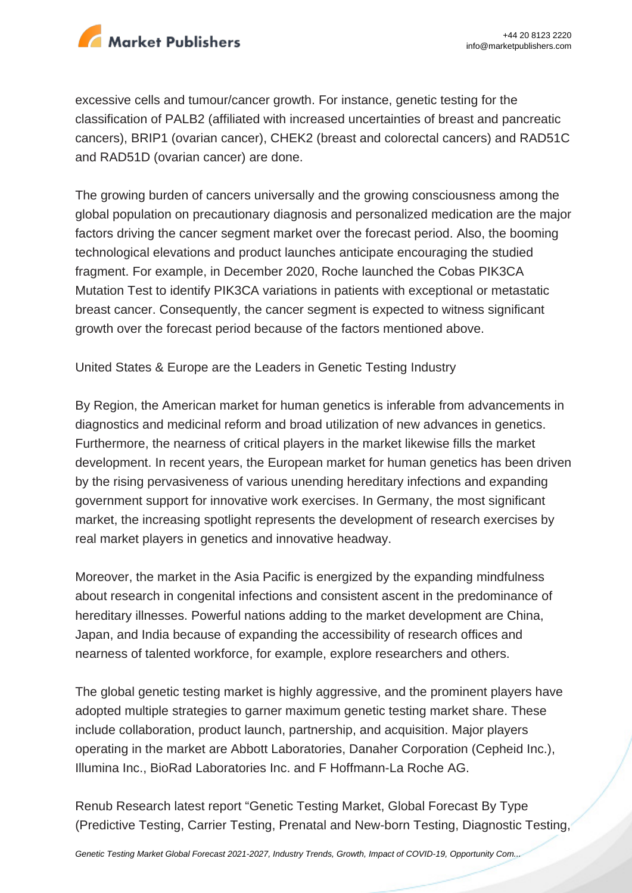

excessive cells and tumour/cancer growth. For instance, genetic testing for the classification of PALB2 (affiliated with increased uncertainties of breast and pancreatic cancers), BRIP1 (ovarian cancer), CHEK2 (breast and colorectal cancers) and RAD51C and RAD51D (ovarian cancer) are done.

The growing burden of cancers universally and the growing consciousness among the global population on precautionary diagnosis and personalized medication are the major factors driving the cancer segment market over the forecast period. Also, the booming technological elevations and product launches anticipate encouraging the studied fragment. For example, in December 2020, Roche launched the Cobas PIK3CA Mutation Test to identify PIK3CA variations in patients with exceptional or metastatic breast cancer. Consequently, the cancer segment is expected to witness significant growth over the forecast period because of the factors mentioned above.

United States & Europe are the Leaders in Genetic Testing Industry

By Region, the American market for human genetics is inferable from advancements in diagnostics and medicinal reform and broad utilization of new advances in genetics. Furthermore, the nearness of critical players in the market likewise fills the market development. In recent years, the European market for human genetics has been driven by the rising pervasiveness of various unending hereditary infections and expanding government support for innovative work exercises. In Germany, the most significant market, the increasing spotlight represents the development of research exercises by real market players in genetics and innovative headway.

Moreover, the market in the Asia Pacific is energized by the expanding mindfulness about research in congenital infections and consistent ascent in the predominance of hereditary illnesses. Powerful nations adding to the market development are China, Japan, and India because of expanding the accessibility of research offices and nearness of talented workforce, for example, explore researchers and others.

The global genetic testing market is highly aggressive, and the prominent players have adopted multiple strategies to garner maximum genetic testing market share. These include collaboration, product launch, partnership, and acquisition. Major players operating in the market are Abbott Laboratories, Danaher Corporation (Cepheid Inc.), Illumina Inc., BioRad Laboratories Inc. and F Hoffmann-La Roche AG.

Renub Research latest report "Genetic Testing Market, Global Forecast By Type (Predictive Testing, Carrier Testing, Prenatal and New-born Testing, Diagnostic Testing,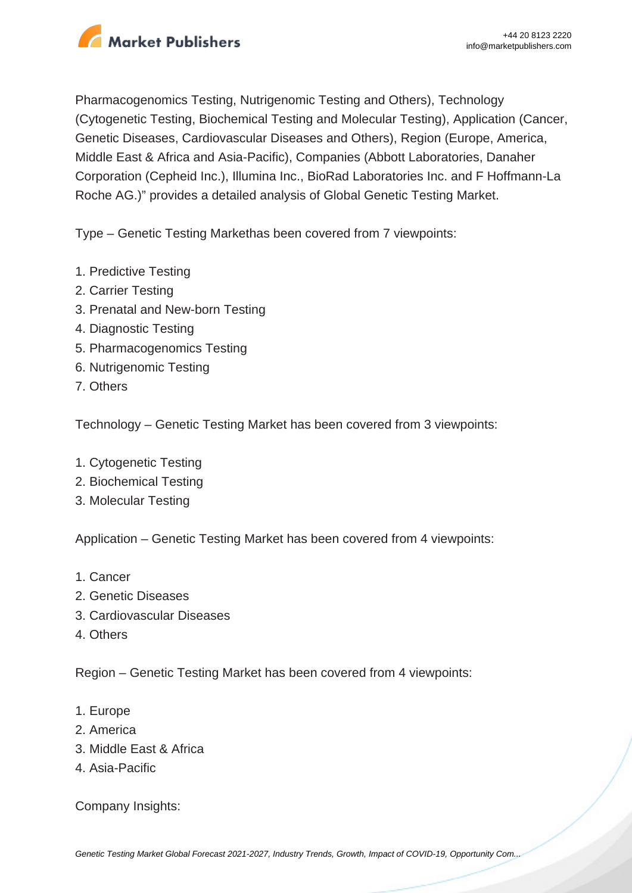

Pharmacogenomics Testing, Nutrigenomic Testing and Others), Technology (Cytogenetic Testing, Biochemical Testing and Molecular Testing), Application (Cancer, Genetic Diseases, Cardiovascular Diseases and Others), Region (Europe, America, Middle East & Africa and Asia-Pacific), Companies (Abbott Laboratories, Danaher Corporation (Cepheid Inc.), Illumina Inc., BioRad Laboratories Inc. and F Hoffmann-La Roche AG.)" provides a detailed analysis of Global Genetic Testing Market.

Type – Genetic Testing Markethas been covered from 7 viewpoints:

- 1. Predictive Testing
- 2. Carrier Testing
- 3. Prenatal and New-born Testing
- 4. Diagnostic Testing
- 5. Pharmacogenomics Testing
- 6. Nutrigenomic Testing
- 7. Others

Technology – Genetic Testing Market has been covered from 3 viewpoints:

- 1. Cytogenetic Testing
- 2. Biochemical Testing
- 3. Molecular Testing

Application – Genetic Testing Market has been covered from 4 viewpoints:

- 1. Cancer
- 2. Genetic Diseases
- 3. Cardiovascular Diseases
- 4. Others

Region – Genetic Testing Market has been covered from 4 viewpoints:

- 1. Europe
- 2. America
- 3. Middle East & Africa
- 4. Asia-Pacific

Company Insights: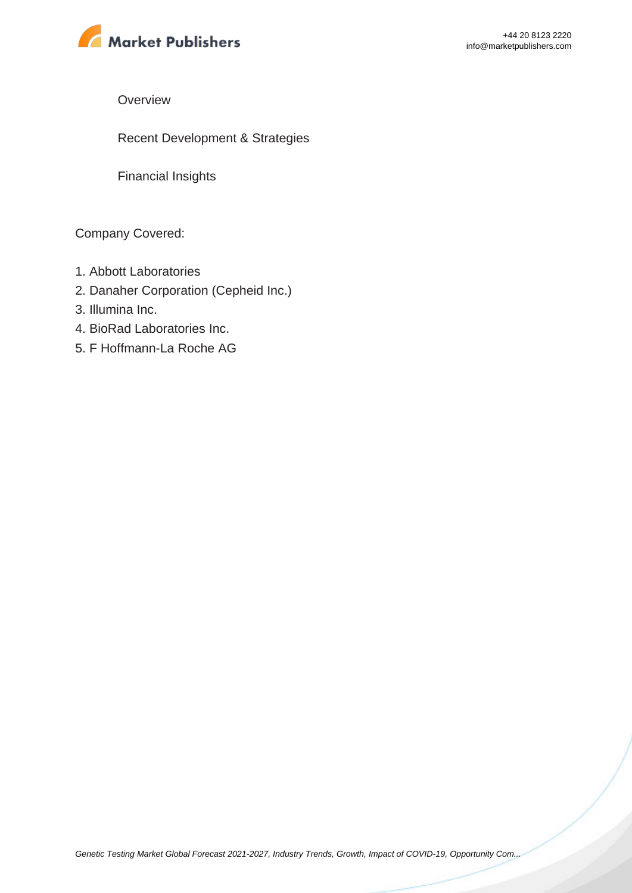

**Overview** 

Recent Development & Strategies

Financial Insights

Company Covered:

- 1. Abbott Laboratories
- 2. Danaher Corporation (Cepheid Inc.)
- 3. Illumina Inc.
- 4. BioRad Laboratories Inc.
- 5. F Hoffmann-La Roche AG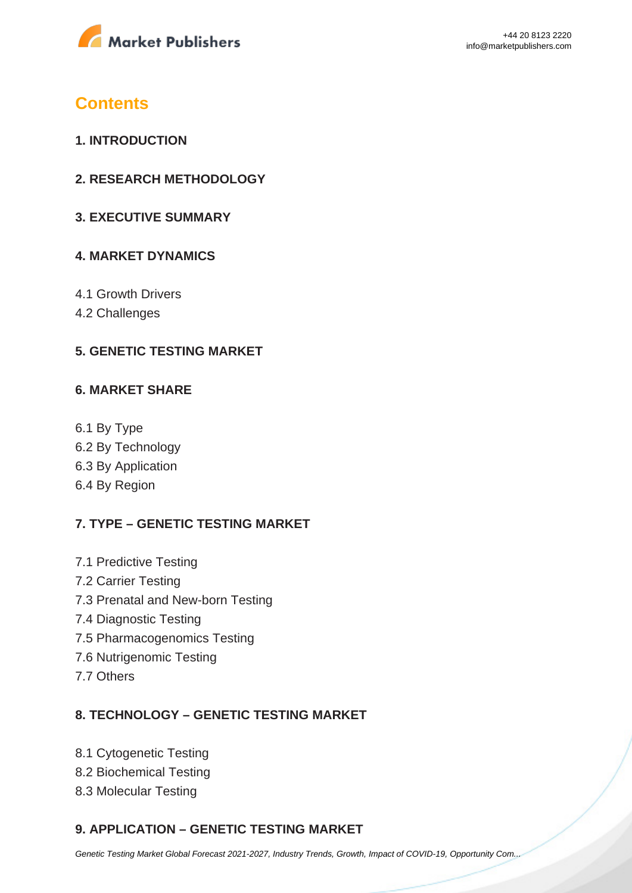

### **Contents**

- **1. INTRODUCTION**
- **2. RESEARCH METHODOLOGY**
- **3. EXECUTIVE SUMMARY**

#### **4. MARKET DYNAMICS**

- 4.1 Growth Drivers
- 4.2 Challenges

#### **5. GENETIC TESTING MARKET**

#### **6. MARKET SHARE**

6.1 By Type 6.2 By Technology 6.3 By Application 6.4 By Region

### **7. TYPE – GENETIC TESTING MARKET**

- 7.1 Predictive Testing 7.2 Carrier Testing 7.3 Prenatal and New-born Testing 7.4 Diagnostic Testing 7.5 Pharmacogenomics Testing 7.6 Nutrigenomic Testing
- 7.7 Others

#### **8. TECHNOLOGY – GENETIC TESTING MARKET**

- 8.1 Cytogenetic Testing
- 8.2 Biochemical Testing
- 8.3 Molecular Testing

### **9. APPLICATION – GENETIC TESTING MARKET**

[Genetic Testing Market Global Forecast 2021-2027, Industry Trends, Growth, Impact of COVID-19, Opportunity Com...](https://marketpublishers.com/report/life_sciences/diagnostics-diseases/genetic-testing-market-global-forecast-2021-2027-industry-trends-growth-impact-of-covid-19-opportunity-company-analysis.html)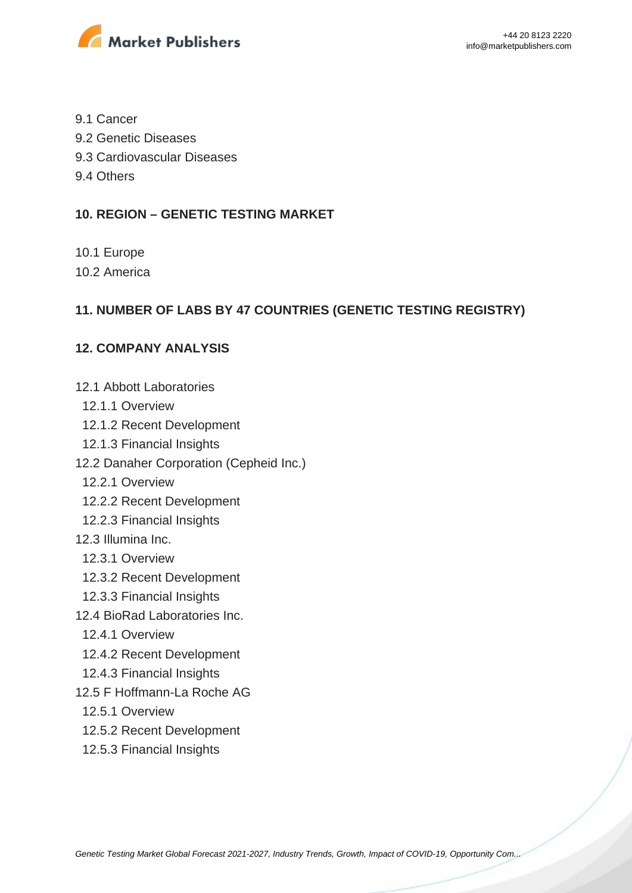

- 9.1 Cancer
- 9.2 Genetic Diseases
- 9.3 Cardiovascular Diseases
- 9.4 Others

#### **10. REGION – GENETIC TESTING MARKET**

- 10.1 Europe
- 10.2 America

#### **11. NUMBER OF LABS BY 47 COUNTRIES (GENETIC TESTING REGISTRY)**

#### **12. COMPANY ANALYSIS**

- 12.1 Abbott Laboratories
- 12.1.1 Overview
- 12.1.2 Recent Development
- 12.1.3 Financial Insights
- 12.2 Danaher Corporation (Cepheid Inc.)
	- 12.2.1 Overview
	- 12.2.2 Recent Development
- 12.2.3 Financial Insights
- 12.3 Illumina Inc.
	- 12.3.1 Overview
	- 12.3.2 Recent Development
	- 12.3.3 Financial Insights
- 12.4 BioRad Laboratories Inc.
	- 12.4.1 Overview
	- 12.4.2 Recent Development
- 12.4.3 Financial Insights
- 12.5 F Hoffmann-La Roche AG
	- 12.5.1 Overview
	- 12.5.2 Recent Development
	- 12.5.3 Financial Insights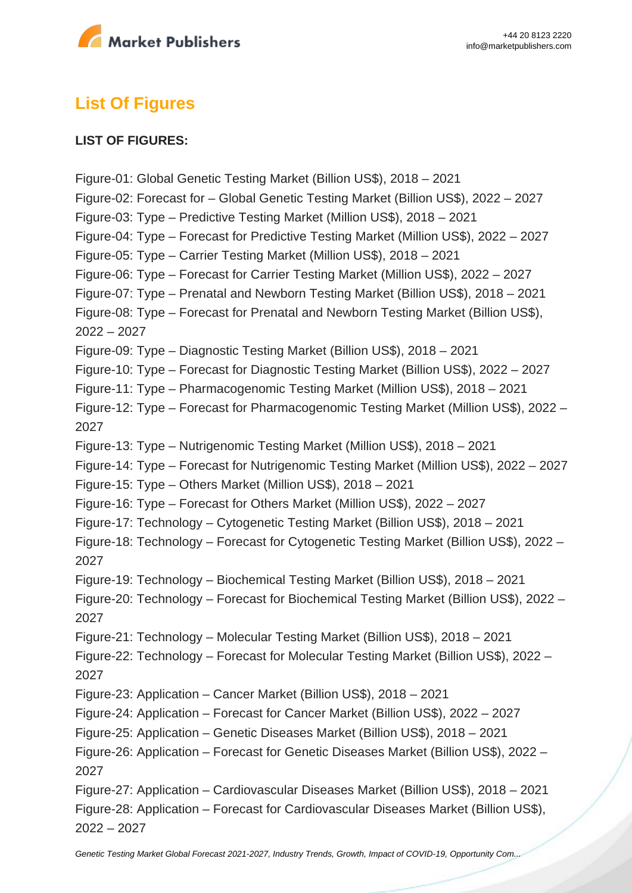

# **List Of Figures**

#### **LIST OF FIGURES:**

Figure-01: Global Genetic Testing Market (Billion US\$), 2018 – 2021 Figure-02: Forecast for – Global Genetic Testing Market (Billion US\$), 2022 – 2027 Figure-03: Type – Predictive Testing Market (Million US\$), 2018 – 2021 Figure-04: Type – Forecast for Predictive Testing Market (Million US\$), 2022 – 2027 Figure-05: Type – Carrier Testing Market (Million US\$), 2018 – 2021 Figure-06: Type – Forecast for Carrier Testing Market (Million US\$), 2022 – 2027 Figure-07: Type – Prenatal and Newborn Testing Market (Billion US\$), 2018 – 2021 Figure-08: Type – Forecast for Prenatal and Newborn Testing Market (Billion US\$), 2022 – 2027 Figure-09: Type – Diagnostic Testing Market (Billion US\$), 2018 – 2021 Figure-10: Type – Forecast for Diagnostic Testing Market (Billion US\$), 2022 – 2027 Figure-11: Type – Pharmacogenomic Testing Market (Million US\$), 2018 – 2021 Figure-12: Type – Forecast for Pharmacogenomic Testing Market (Million US\$), 2022 – 2027 Figure-13: Type – Nutrigenomic Testing Market (Million US\$), 2018 – 2021 Figure-14: Type – Forecast for Nutrigenomic Testing Market (Million US\$), 2022 – 2027 Figure-15: Type – Others Market (Million US\$), 2018 – 2021 Figure-16: Type – Forecast for Others Market (Million US\$), 2022 – 2027 Figure-17: Technology – Cytogenetic Testing Market (Billion US\$), 2018 – 2021 Figure-18: Technology – Forecast for Cytogenetic Testing Market (Billion US\$), 2022 – 2027 Figure-19: Technology – Biochemical Testing Market (Billion US\$), 2018 – 2021 Figure-20: Technology – Forecast for Biochemical Testing Market (Billion US\$), 2022 – 2027 Figure-21: Technology – Molecular Testing Market (Billion US\$), 2018 – 2021 Figure-22: Technology – Forecast for Molecular Testing Market (Billion US\$), 2022 – 2027 Figure-23: Application – Cancer Market (Billion US\$), 2018 – 2021 Figure-24: Application – Forecast for Cancer Market (Billion US\$), 2022 – 2027 Figure-25: Application – Genetic Diseases Market (Billion US\$), 2018 – 2021 Figure-26: Application – Forecast for Genetic Diseases Market (Billion US\$), 2022 – 2027 Figure-27: Application – Cardiovascular Diseases Market (Billion US\$), 2018 – 2021 Figure-28: Application – Forecast for Cardiovascular Diseases Market (Billion US\$), 2022 – 2027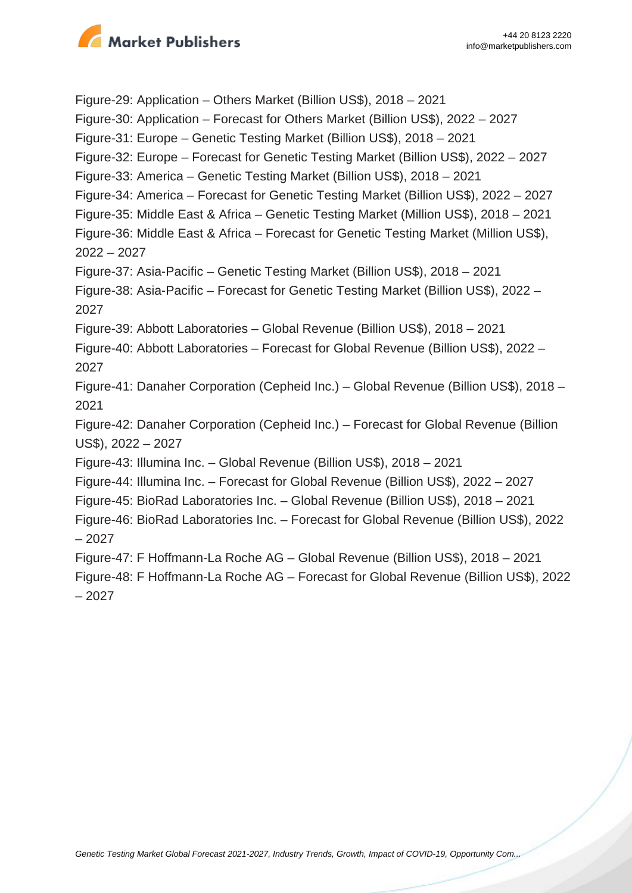

Figure-29: Application – Others Market (Billion US\$), 2018 – 2021 Figure-30: Application – Forecast for Others Market (Billion US\$), 2022 – 2027 Figure-31: Europe – Genetic Testing Market (Billion US\$), 2018 – 2021 Figure-32: Europe – Forecast for Genetic Testing Market (Billion US\$), 2022 – 2027 Figure-33: America – Genetic Testing Market (Billion US\$), 2018 – 2021 Figure-34: America – Forecast for Genetic Testing Market (Billion US\$), 2022 – 2027 Figure-35: Middle East & Africa – Genetic Testing Market (Million US\$), 2018 – 2021 Figure-36: Middle East & Africa – Forecast for Genetic Testing Market (Million US\$), 2022 – 2027 Figure-37: Asia-Pacific – Genetic Testing Market (Billion US\$), 2018 – 2021 Figure-38: Asia-Pacific – Forecast for Genetic Testing Market (Billion US\$), 2022 – 2027 Figure-39: Abbott Laboratories – Global Revenue (Billion US\$), 2018 – 2021 Figure-40: Abbott Laboratories – Forecast for Global Revenue (Billion US\$), 2022 – 2027 Figure-41: Danaher Corporation (Cepheid Inc.) – Global Revenue (Billion US\$), 2018 – 2021 Figure-42: Danaher Corporation (Cepheid Inc.) – Forecast for Global Revenue (Billion US\$), 2022 – 2027 Figure-43: Illumina Inc. – Global Revenue (Billion US\$), 2018 – 2021 Figure-44: Illumina Inc. – Forecast for Global Revenue (Billion US\$), 2022 – 2027 Figure-45: BioRad Laboratories Inc. – Global Revenue (Billion US\$), 2018 – 2021 Figure-46: BioRad Laboratories Inc. – Forecast for Global Revenue (Billion US\$), 2022 – 2027 Figure-47: F Hoffmann-La Roche AG – Global Revenue (Billion US\$), 2018 – 2021 Figure-48: F Hoffmann-La Roche AG – Forecast for Global Revenue (Billion US\$), 2022 – 2027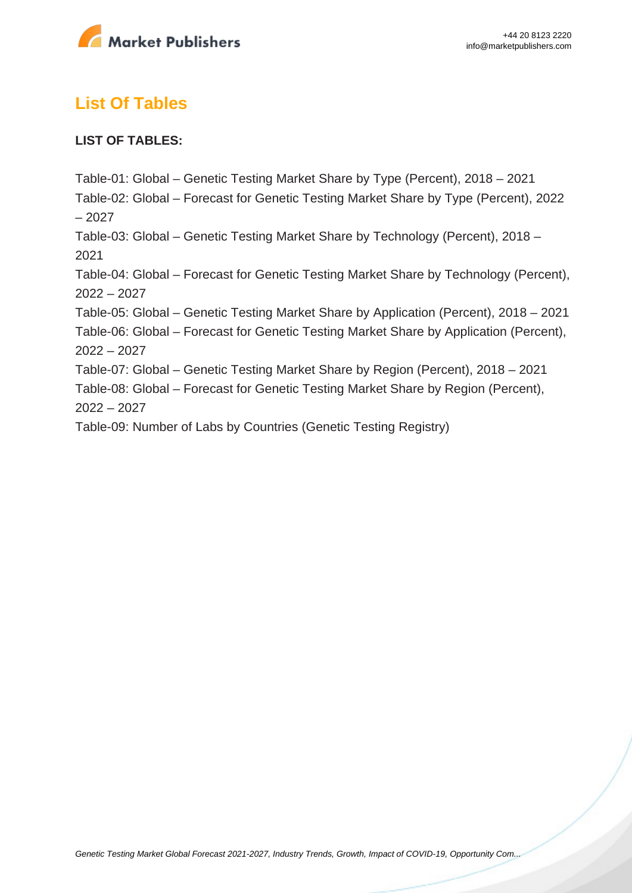

# **List Of Tables**

#### **LIST OF TABLES:**

Table-01: Global – Genetic Testing Market Share by Type (Percent), 2018 – 2021 Table-02: Global – Forecast for Genetic Testing Market Share by Type (Percent), 2022 – 2027 Table-03: Global – Genetic Testing Market Share by Technology (Percent), 2018 – 2021 Table-04: Global – Forecast for Genetic Testing Market Share by Technology (Percent), 2022 – 2027 Table-05: Global – Genetic Testing Market Share by Application (Percent), 2018 – 2021 Table-06: Global – Forecast for Genetic Testing Market Share by Application (Percent), 2022 – 2027 Table-07: Global – Genetic Testing Market Share by Region (Percent), 2018 – 2021 Table-08: Global – Forecast for Genetic Testing Market Share by Region (Percent), 2022 – 2027 Table-09: Number of Labs by Countries (Genetic Testing Registry)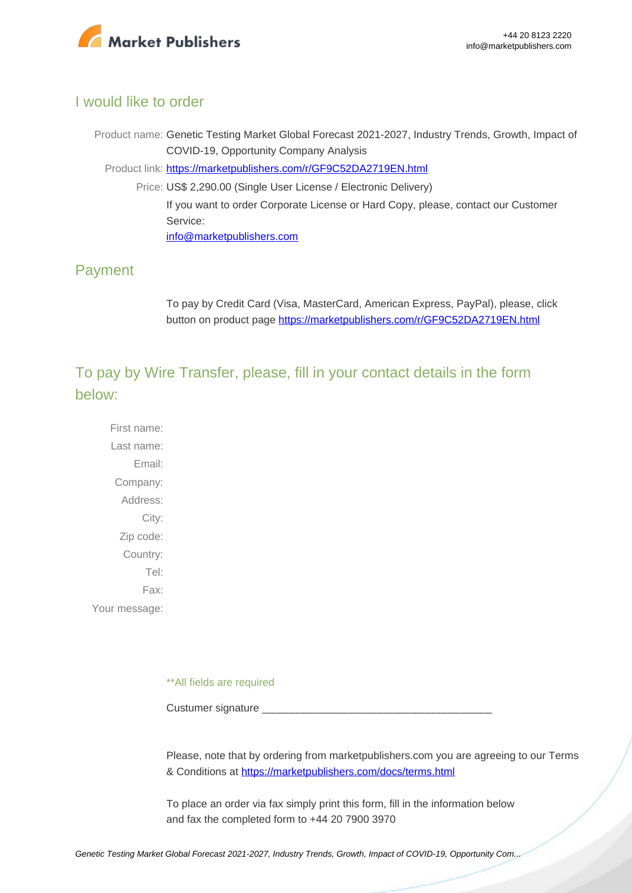

#### I would like to order

Product name: Genetic Testing Market Global Forecast 2021-2027, Industry Trends, Growth, Impact of COVID-19, Opportunity Company Analysis Product link: [https://marketpublishers.com/r/GF9C52DA2719EN.html](https://marketpublishers.com/report/life_sciences/diagnostics-diseases/genetic-testing-market-global-forecast-2021-2027-industry-trends-growth-impact-of-covid-19-opportunity-company-analysis.html)

Price: US\$ 2,290.00 (Single User License / Electronic Delivery) If you want to order Corporate License or Hard Copy, please, contact our Customer Service: [info@marketpublishers.com](mailto:info@marketpublishers.com)

### Payment

To pay by Credit Card (Visa, MasterCard, American Express, PayPal), please, click button on product page [https://marketpublishers.com/r/GF9C52DA2719EN.html](https://marketpublishers.com/report/life_sciences/diagnostics-diseases/genetic-testing-market-global-forecast-2021-2027-industry-trends-growth-impact-of-covid-19-opportunity-company-analysis.html)

To pay by Wire Transfer, please, fill in your contact details in the form below:

First name: Last name: Email: Company: Address: City: Zip code: Country: Tel: Fax: Your message:

\*\*All fields are required

Custumer signature

Please, note that by ordering from marketpublishers.com you are agreeing to our Terms & Conditions at<https://marketpublishers.com/docs/terms.html>

To place an order via fax simply print this form, fill in the information below and fax the completed form to +44 20 7900 3970